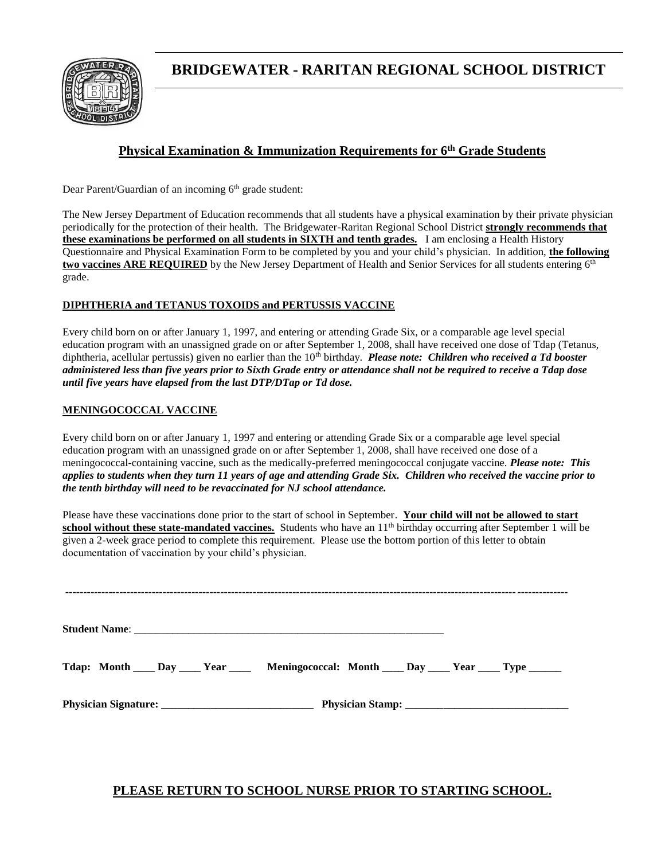

# **BRIDGEWATER - RARITAN REGIONAL SCHOOL DISTRICT**

#### **Physical Examination & Immunization Requirements for 6th Grade Students**

Dear Parent/Guardian of an incoming  $6<sup>th</sup>$  grade student:

Ξ

The New Jersey Department of Education recommends that all students have a physical examination by their private physician periodically for the protection of their health. The Bridgewater-Raritan Regional School District **strongly recommends that these examinations be performed on all students in SIXTH and tenth grades.** I am enclosing a Health History Questionnaire and Physical Examination Form to be completed by you and your child's physician. In addition, **the following two vaccines ARE REQUIRED** by the New Jersey Department of Health and Senior Services for all students entering 6<sup>th</sup> grade.

#### **DIPHTHERIA and TETANUS TOXOIDS and PERTUSSIS VACCINE**

Every child born on or after January 1, 1997, and entering or attending Grade Six, or a comparable age level special education program with an unassigned grade on or after September 1, 2008, shall have received one dose of Tdap (Tetanus, diphtheria, acellular pertussis) given no earlier than the 10<sup>th</sup> birthday. *Please note: Children who received a Td booster administered less than five years prior to Sixth Grade entry or attendance shall not be required to receive a Tdap dose until five years have elapsed from the last DTP/DTap or Td dose.*

#### **MENINGOCOCCAL VACCINE**

Every child born on or after January 1, 1997 and entering or attending Grade Six or a comparable age level special education program with an unassigned grade on or after September 1, 2008, shall have received one dose of a meningococcal-containing vaccine, such as the medically-preferred meningococcal conjugate vaccine. *Please note: This applies to students when they turn 11 years of age and attending Grade Six. Children who received the vaccine prior to the tenth birthday will need to be revaccinated for NJ school attendance.* 

Please have these vaccinations done prior to the start of school in September. **Your child will not be allowed to start**  school without these state-mandated vaccines. Students who have an 11<sup>th</sup> birthday occurring after September 1 will be given a 2-week grace period to complete this requirement. Please use the bottom portion of this letter to obtain documentation of vaccination by your child's physician.

| Tdap: Month ____ Day _____ Year ______ Meningococcal: Month ____ Day _____ Year ____ Type ______ |  |
|--------------------------------------------------------------------------------------------------|--|
|                                                                                                  |  |

#### **PLEASE RETURN TO SCHOOL NURSE PRIOR TO STARTING SCHOOL.**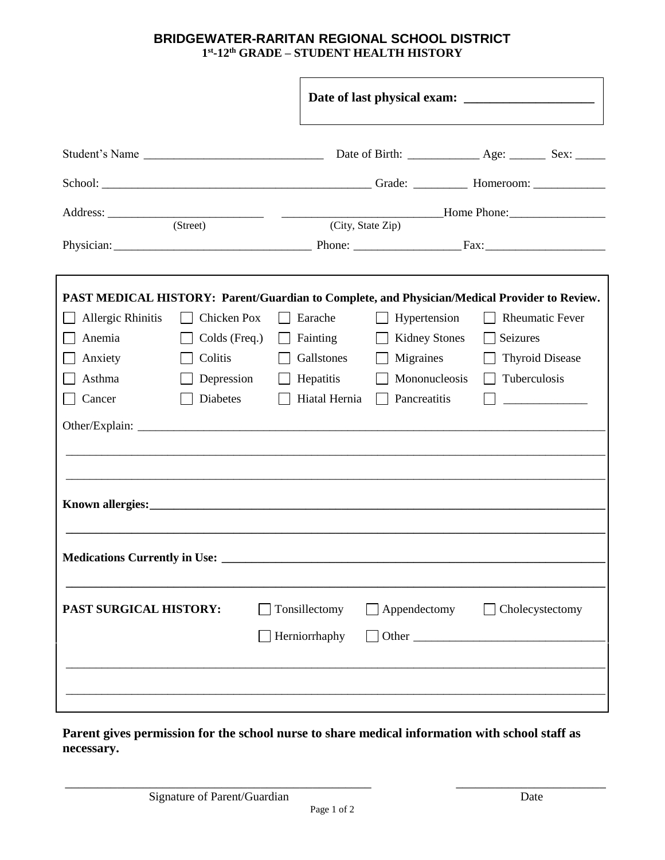#### **BRIDGEWATER-RARITAN REGIONAL SCHOOL DISTRICT 1 st -12th GRADE – STUDENT HEALTH HISTORY**

|                                                                                                                                                                                                                                      | <u> 2000 - Andrea Andrew Maria (b. 1989)</u> | Home Phone: Manual Manual Phone Phone 2014 |                         |  |                            |                                                                                              |  |  |
|--------------------------------------------------------------------------------------------------------------------------------------------------------------------------------------------------------------------------------------|----------------------------------------------|--------------------------------------------|-------------------------|--|----------------------------|----------------------------------------------------------------------------------------------|--|--|
|                                                                                                                                                                                                                                      | (Street)                                     |                                            | (City, State Zip)       |  |                            |                                                                                              |  |  |
|                                                                                                                                                                                                                                      |                                              |                                            |                         |  |                            |                                                                                              |  |  |
|                                                                                                                                                                                                                                      |                                              |                                            |                         |  |                            |                                                                                              |  |  |
|                                                                                                                                                                                                                                      |                                              |                                            |                         |  |                            | PAST MEDICAL HISTORY: Parent/Guardian to Complete, and Physician/Medical Provider to Review. |  |  |
| Allergic Rhinitis                                                                                                                                                                                                                    | Chicken Pox                                  |                                            | Earache                 |  | Hypertension               | <b>Rheumatic Fever</b>                                                                       |  |  |
| Anemia                                                                                                                                                                                                                               | Colds (Freq.)<br>Colitis                     |                                            | Fainting                |  | <b>Kidney Stones</b>       | Seizures                                                                                     |  |  |
| Anxiety<br>Asthma                                                                                                                                                                                                                    | Depression                                   |                                            | Gallstones<br>Hepatitis |  | Migraines<br>Mononucleosis | <b>Thyroid Disease</b><br>Tuberculosis                                                       |  |  |
| Cancer                                                                                                                                                                                                                               | Diabetes                                     |                                            | Hiatal Hernia           |  | Pancreatitis               |                                                                                              |  |  |
|                                                                                                                                                                                                                                      |                                              |                                            |                         |  |                            |                                                                                              |  |  |
|                                                                                                                                                                                                                                      |                                              |                                            |                         |  |                            |                                                                                              |  |  |
|                                                                                                                                                                                                                                      |                                              |                                            |                         |  |                            |                                                                                              |  |  |
|                                                                                                                                                                                                                                      |                                              |                                            |                         |  |                            |                                                                                              |  |  |
| Known allergies: <u>and the contract of the contract of the contract of the contract of the contract of the contract of the contract of the contract of the contract of the contract of the contract of the contract of the cont</u> |                                              |                                            |                         |  |                            |                                                                                              |  |  |
|                                                                                                                                                                                                                                      |                                              |                                            |                         |  |                            |                                                                                              |  |  |
| <b>Medications Currently in Use:</b>                                                                                                                                                                                                 |                                              |                                            |                         |  |                            |                                                                                              |  |  |
|                                                                                                                                                                                                                                      |                                              |                                            |                         |  |                            |                                                                                              |  |  |
| PAST SURGICAL HISTORY:                                                                                                                                                                                                               |                                              |                                            | Tonsillectomy           |  | $\Box$ Appendectomy        | $\Box$ Cholecystectomy                                                                       |  |  |
|                                                                                                                                                                                                                                      |                                              |                                            | Herniorrhaphy           |  |                            | $\Box$ Other $\Box$                                                                          |  |  |
|                                                                                                                                                                                                                                      |                                              |                                            |                         |  |                            |                                                                                              |  |  |
|                                                                                                                                                                                                                                      |                                              |                                            |                         |  |                            |                                                                                              |  |  |
|                                                                                                                                                                                                                                      |                                              |                                            |                         |  |                            |                                                                                              |  |  |

**Parent gives permission for the school nurse to share medical information with school staff as necessary.**

\_\_\_\_\_\_\_\_\_\_\_\_\_\_\_\_\_\_\_\_\_\_\_\_\_\_\_\_\_\_\_\_\_\_\_\_\_\_\_\_\_\_\_\_\_\_\_ \_\_\_\_\_\_\_\_\_\_\_\_\_\_\_\_\_\_\_\_\_\_\_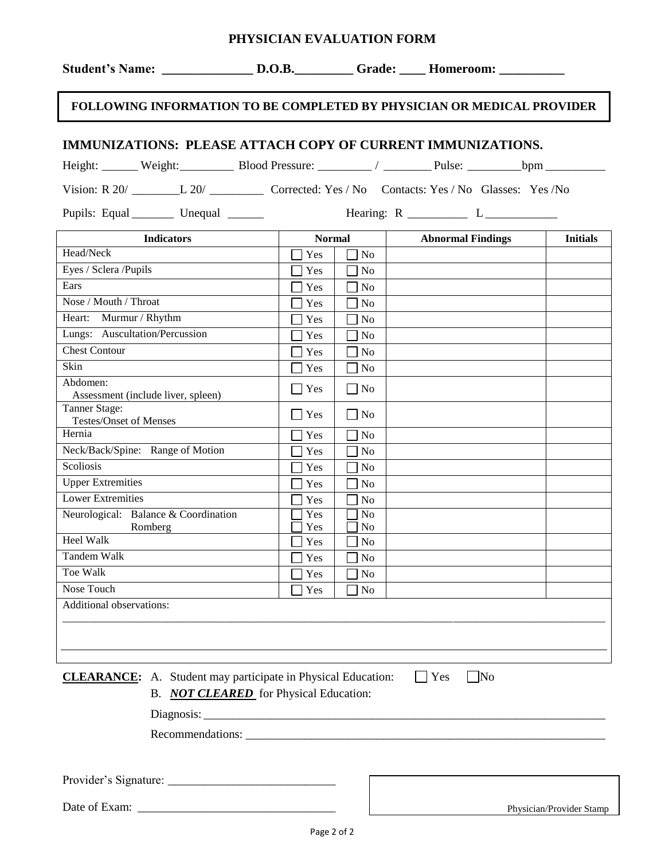| <b>FOLLOWING INFORMATION TO BE COMPLETED BY PHYSICIAN OR MEDICAL PROVIDER</b>                                                                                                                                                 |               |                                  |                          |                          |  |  |  |  |
|-------------------------------------------------------------------------------------------------------------------------------------------------------------------------------------------------------------------------------|---------------|----------------------------------|--------------------------|--------------------------|--|--|--|--|
| IMMUNIZATIONS: PLEASE ATTACH COPY OF CURRENT IMMUNIZATIONS.                                                                                                                                                                   |               |                                  |                          |                          |  |  |  |  |
| Height: Weight: Weight: Blood Pressure: 1 2000 Pressure: 2000 Pressure: 2000 Pressure: 2000 Pressure: 2000 Pressure: 2000 Pressure: 2000 Pressure: 2000 Pressure: 2000 Pressure: 2000 Pressure: 2000 Pressure: 2000 Pressure: |               |                                  |                          |                          |  |  |  |  |
| Vision: R 20/ L 20/ L 20/ Corrected: Yes / No Contacts: Yes / No Glasses: Yes / No                                                                                                                                            |               |                                  |                          |                          |  |  |  |  |
| Pupils: Equal _________ Unequal ______                                                                                                                                                                                        |               |                                  |                          |                          |  |  |  |  |
| <b>Indicators</b>                                                                                                                                                                                                             | <b>Normal</b> |                                  | <b>Abnormal Findings</b> | <b>Initials</b>          |  |  |  |  |
| Head/Neck                                                                                                                                                                                                                     | Yes           | N <sub>o</sub>                   |                          |                          |  |  |  |  |
| Eyes / Sclera /Pupils                                                                                                                                                                                                         | Yes           | No                               |                          |                          |  |  |  |  |
| Ears                                                                                                                                                                                                                          | Yes           | N <sub>0</sub>                   |                          |                          |  |  |  |  |
| Nose / Mouth / Throat                                                                                                                                                                                                         | Yes           | No                               |                          |                          |  |  |  |  |
| Heart: Murmur / Rhythm                                                                                                                                                                                                        | Yes           | No                               |                          |                          |  |  |  |  |
| Lungs: Auscultation/Percussion                                                                                                                                                                                                | Yes           | N <sub>o</sub>                   |                          |                          |  |  |  |  |
| Chest Contour                                                                                                                                                                                                                 | Yes           | No                               |                          |                          |  |  |  |  |
| Skin                                                                                                                                                                                                                          | Yes           | N <sub>o</sub>                   |                          |                          |  |  |  |  |
| Abdomen:<br>Assessment (include liver, spleen)                                                                                                                                                                                | $\exists$ Yes | $\Box$ No                        |                          |                          |  |  |  |  |
| Tanner Stage:<br>Testes/Onset of Menses                                                                                                                                                                                       | Yes           | $\Box$ No                        |                          |                          |  |  |  |  |
| Hernia                                                                                                                                                                                                                        | Yes           | $\exists$ No                     |                          |                          |  |  |  |  |
| Neck/Back/Spine: Range of Motion                                                                                                                                                                                              | Yes           | N <sub>0</sub>                   |                          |                          |  |  |  |  |
| Scoliosis                                                                                                                                                                                                                     | Yes           | <b>No</b>                        |                          |                          |  |  |  |  |
| <b>Upper Extremities</b>                                                                                                                                                                                                      | Yes           | N <sub>o</sub>                   |                          |                          |  |  |  |  |
| <b>Lower Extremities</b>                                                                                                                                                                                                      | Yes           | N <sub>o</sub>                   |                          |                          |  |  |  |  |
| Neurological: Balance & Coordination<br>Romberg                                                                                                                                                                               | Yes<br>Yes    | N <sub>o</sub><br>N <sub>0</sub> |                          |                          |  |  |  |  |
| <b>Heel Walk</b>                                                                                                                                                                                                              | Yes           | N <sub>0</sub>                   |                          |                          |  |  |  |  |
| Tandem Walk                                                                                                                                                                                                                   | Yes           | N <sub>0</sub>                   |                          |                          |  |  |  |  |
| Toe Walk                                                                                                                                                                                                                      | Yes           | No                               |                          |                          |  |  |  |  |
| Nose Touch                                                                                                                                                                                                                    | Yes           | No                               |                          |                          |  |  |  |  |
| Additional observations:                                                                                                                                                                                                      |               |                                  |                          |                          |  |  |  |  |
|                                                                                                                                                                                                                               |               |                                  |                          |                          |  |  |  |  |
|                                                                                                                                                                                                                               |               |                                  |                          |                          |  |  |  |  |
|                                                                                                                                                                                                                               |               |                                  |                          |                          |  |  |  |  |
| <b>CLEARANCE:</b> A. Student may participate in Physical Education:                                                                                                                                                           |               |                                  | Yes<br> No               |                          |  |  |  |  |
| B. <b>NOT CLEARED</b> for Physical Education:                                                                                                                                                                                 |               |                                  |                          |                          |  |  |  |  |
|                                                                                                                                                                                                                               |               |                                  |                          |                          |  |  |  |  |
|                                                                                                                                                                                                                               |               |                                  |                          |                          |  |  |  |  |
|                                                                                                                                                                                                                               |               |                                  |                          |                          |  |  |  |  |
|                                                                                                                                                                                                                               |               |                                  |                          |                          |  |  |  |  |
| Date of Exam:                                                                                                                                                                                                                 |               |                                  |                          | Physician/Provider Stamp |  |  |  |  |

**PHYSICIAN EVALUATION FORM**

**Student's Name: \_\_\_\_\_\_\_\_\_\_\_\_\_\_ D.O.B.\_\_\_\_\_\_\_\_\_ Grade: \_\_\_\_ Homeroom: \_\_\_\_\_\_\_\_\_\_**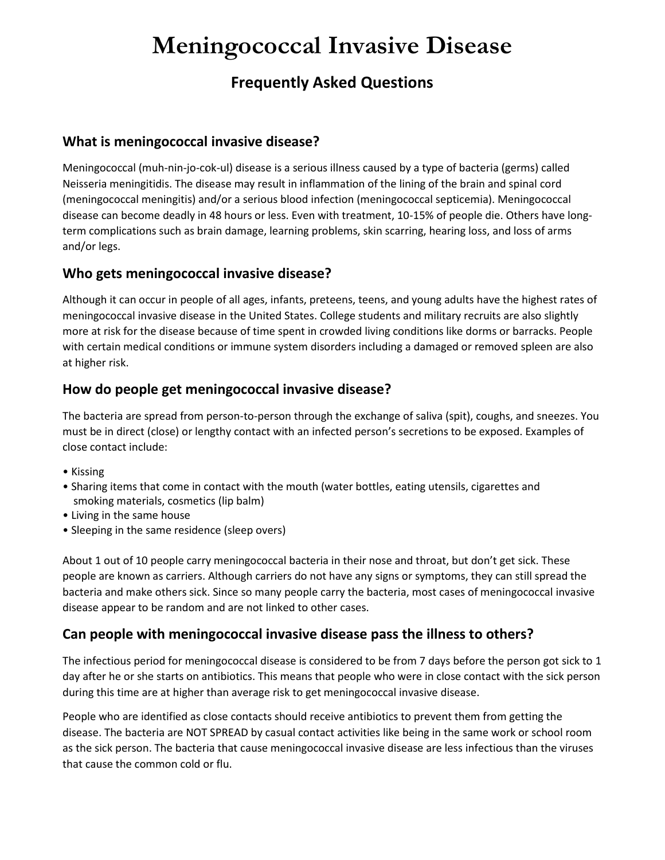# **Meningococcal Invasive Disease**

# **Frequently Asked Questions**

## **What is meningococcal invasive disease?**

Meningococcal (muh-nin-jo-cok-ul) disease is a serious illness caused by a type of bacteria (germs) called Neisseria meningitidis. The disease may result in inflammation of the lining of the brain and spinal cord (meningococcal meningitis) and/or a serious blood infection (meningococcal septicemia). Meningococcal disease can become deadly in 48 hours or less. Even with treatment, 10-15% of people die. Others have longterm complications such as brain damage, learning problems, skin scarring, hearing loss, and loss of arms and/or legs.

## **Who gets meningococcal invasive disease?**

Although it can occur in people of all ages, infants, preteens, teens, and young adults have the highest rates of meningococcal invasive disease in the United States. College students and military recruits are also slightly more at risk for the disease because of time spent in crowded living conditions like dorms or barracks. People with certain medical conditions or immune system disorders including a damaged or removed spleen are also at higher risk.

#### **How do people get meningococcal invasive disease?**

The bacteria are spread from person-to-person through the exchange of saliva (spit), coughs, and sneezes. You must be in direct (close) or lengthy contact with an infected person's secretions to be exposed. Examples of close contact include:

- Kissing
- Sharing items that come in contact with the mouth (water bottles, eating utensils, cigarettes and smoking materials, cosmetics (lip balm)
- Living in the same house
- Sleeping in the same residence (sleep overs)

About 1 out of 10 people carry meningococcal bacteria in their nose and throat, but don't get sick. These people are known as carriers. Although carriers do not have any signs or symptoms, they can still spread the bacteria and make others sick. Since so many people carry the bacteria, most cases of meningococcal invasive disease appear to be random and are not linked to other cases.

## **Can people with meningococcal invasive disease pass the illness to others?**

The infectious period for meningococcal disease is considered to be from 7 days before the person got sick to 1 day after he or she starts on antibiotics. This means that people who were in close contact with the sick person during this time are at higher than average risk to get meningococcal invasive disease.

People who are identified as close contacts should receive antibiotics to prevent them from getting the disease. The bacteria are NOT SPREAD by casual contact activities like being in the same work or school room as the sick person. The bacteria that cause meningococcal invasive disease are less infectious than the viruses that cause the common cold or flu.